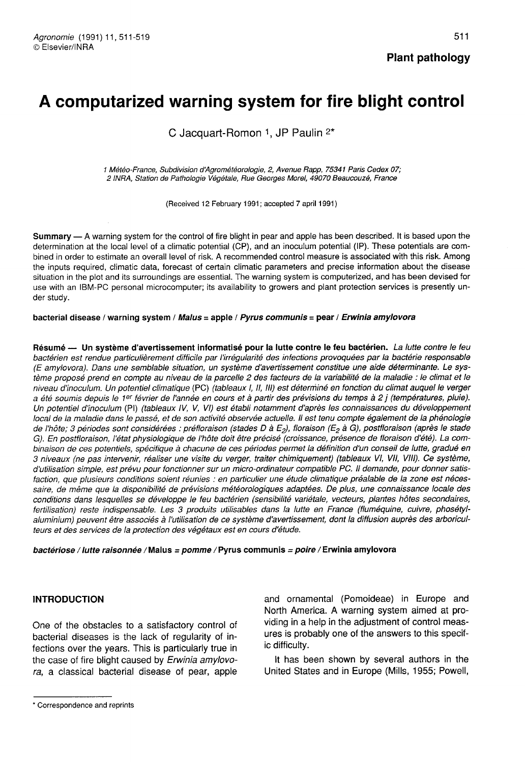# A computarized warning system for fire blight control

C Jacquart-Romon 1, JP Paulin <sup>2\*</sup>

1 Météo-France, Subdivision d'Agrométéorologie, 2, Avenue Rapp, 75341 Paris Cedex 07; 2 INRA, Station de Pathologie Végétale, Rue Georges Morel, 49070 Beaucouzé, France

(Received 12 February 1991; accepted 7 april 1991)

Summary — A warning system for the control of fire blight in pear and apple has been described. It is based upon the determination at the local level of a climatic potential (CP), and an inoculum potential (IP). These potentials are combined in order to estimate an overall level of risk. A recommended control measure is associated with this risk. Among the inputs required, climatic data, forecast of certain climatic parameters and precise information about the disease situation in the plot and its surroundings are essential. The warning system is computerized, and has been devised for use with an IBM-PC personal microcomputer; its availability to growers and plant protection services is presently under study.

bacterial disease / warning system / Malus = apple / Pyrus communis = pear / Erwinia amylovora

Résumé — Un système d'avertissement informatisé pour la lutte contre le feu bactérien. La lutte contre le feu bactérien est rendue particulièrement difficile par l'irrégularité des infections provoquées par la bactérie responsable (E amylovora). Dans une semblable situation, un système d'avertissement constitue une aide déterminante. Le système proposé prend en compte au niveau de la parcelle 2 des facteurs de la variabilité de la maladie : le climat et le niveau d'inoculum. Un potentiel climatique (PC) (tableaux I, II, III) est déterminé en fonction du climat auquel le verger a été soumis depuis le 1er février de l'année en cours et à partir des prévisions du temps à 2 j (températures, pluie). Un potentiel d'inoculum (PI) (tableaux IV, V, VI) est établi notamment d'après les connaissances du développement local de la maladie dans le passé, et de son activité observée actuelle. Il est tenu compte également de la phénologie de l'hôte; 3 périodes sont considérées : préfloraison (stades D à E<sub>2</sub>), floraison (E<sub>2</sub> à G), postfloraison (après le stade G). En postfloraison, l'état physiologique de l'hôte doit être précisé (croissance, présence de floraison d'été). La combinaison de ces potentiels, spécifique à chacune de ces périodes permet la définition d'un conseil de lutte, gradué en 3 niveaux (ne pas intervenir, réaliser une visite du verger, traiter chimiquement) (tableaux VI, VII, VIII). Ce système, d'utilisation simple, est prévu pour fonctionner sur un micro-ordinateur compatible PC. II demande, pour donner satisfaction, que plusieurs conditions soient réunies : en particulier une étude climatique préalable de la zone est nécessaire, de même que la disponibilité de prévisions météorologiques adaptées. De plus, une connaissance locale des conditions dans lesquelles se développe le feu bactérien (sensibilité variétale, vecteurs, plantes hôtes secondaires, fertilisation) reste indispensable. Les 3 produits utilisables dans la lutte en France (fluméquine, cuivre, phosétylaluminium) peuvent être associés à l'utilisation de ce système d'avertissement, dont la diffusion auprès des arboriculteurs et des services de la protection des végétaux est en cours d'étude.

bactériose / lutte raisonnée /Malus = pomme /Pyrus communis = poire / Erwinia amylovora

#### INTRODUCTION

One of the obstacles to a satisfactory control of bacterial diseases is the lack of regularity of infections over the years. This is particularly true in the case of fire blight caused by Erwinia amylovora, a classical bacterial disease of pear, apple

and ornamental (Pomoideae) in Europe and North America. A warning system aimed at providing in a help in the adjustment of control measures is probably one of the answers to this specific difficulty.

It has been shown by several authors in the United States and in Europe (Mills, 1955; Powell,

Plant pathology

<sup>\*</sup> Correspondence and reprints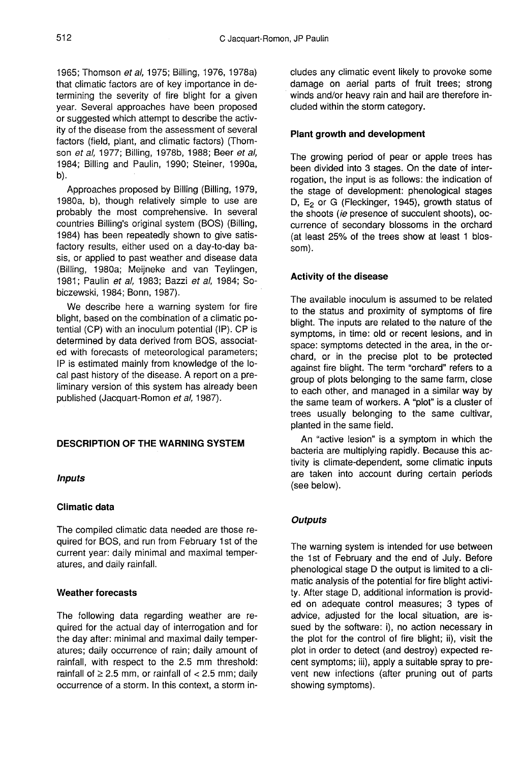1965; Thomson et al, 1975; Billing, 1976, 1978a) that climatic factors are of key importance in determining the severity of fire blight for a given year. Several approaches have been proposed or suggested which attempt to describe the activity of the disease from the assessment of several factors (field, plant, and climatic factors) (Thom son et al, 1977; Billing, 1978b, 1988; Beer et al, 1984; Billing and Paulin, 1990; Steiner, 1990a, b).

Approaches proposed by Billing (Billing, 1979, 1980a, b), though relatively simple to use are probably the most comprehensive. In several countries Billing's original system (BOS) (Billing, 1984) has been repeatedly shown to give satisfactory results, either used on a day-to-day basis, or applied to past weather and disease data (Billing, 1980a; Meijneke and van Teylingen, 1981; Paulin et al, 1983; Bazzi et al, 1984; Sobiczewski, 1984; Bonn, 1987).

We describe here a warning system for fire blight, based on the combination of a climatic potential (CP) with an inoculum potential (IP). CP is determined by data derived from BOS, associated with forecasts of meteorological parameters; IP is estimated mainly from knowledge of the local past history of the disease. A report on a preliminary version of this system has already been published (Jacquart-Romon et al, 1987).

# DESCRIPTION OF THE WARNING SYSTEM

#### Inputs

#### Climatic data

The compiled climatic data needed are those required for BOS, and run from February 1 st of the current year: daily minimal and maximal temperatures, and daily rainfall.

#### Weather forecasts

The following data regarding weather are required for the actual day of interrogation and for the day after: minimal and maximal daily temperatures; daily occurrence of rain; daily amount of rainfall, with respect to the 2.5 mm threshold: rainfall of  $\geq$  2.5 mm, or rainfall of  $<$  2.5 mm; daily occurrence of a storm. In this context, a storm includes any climatic event likely to provoke some damage on aerial parts of fruit trees; strong winds and/or heavy rain and hail are therefore included within the storm category.

## Plant growth and development

The growing period of pear or apple trees has been divided into 3 stages. On the date of interrogation, the input is as follows: the indication of the stage of development: phenological stages D,  $E_2$  or G (Fleckinger, 1945), growth status of the shoots (ie presence of succulent shoots), occurrence of secondary blossoms in the orchard (at least 25% of the trees show at least 1 blossom).

## Activity of the disease

The available inoculum is assumed to be related to the status and proximity of symptoms of fire blight. The inputs are related to the nature of the symptoms, in time: old or recent lesions, and in space: symptoms detected in the area, in the orchard, or in the precise plot to be protected against fire blight. The term "orchard" refers to a group of plots belonging to the same farm, close to each other, and managed in a similar way by the same team of workers. A "plot" is a cluster of trees usually belonging to the same cultivar, planted in the same field.

An "active lesion" is a symptom in which the bacteria are multiplying rapidly. Because this activity is climate-dependent, some climatic inputs are taken into account during certain periods (see below).

# **Outputs**

The warning system is intended for use between the 1st of February and the end of July. Before phenological stage D the output is limited to a climatic analysis of the potential for fire blight activity. After stage D, additional information is provided on adequate control measures; 3 types of advice, adjusted for the local situation, are issued by the software: i), no action necessary in the plot for the control of fire blight; ii), visit the plot in order to detect (and destroy) expected recent symptoms; iii), apply a suitable spray to prevent new infections (after pruning out of parts showing symptoms).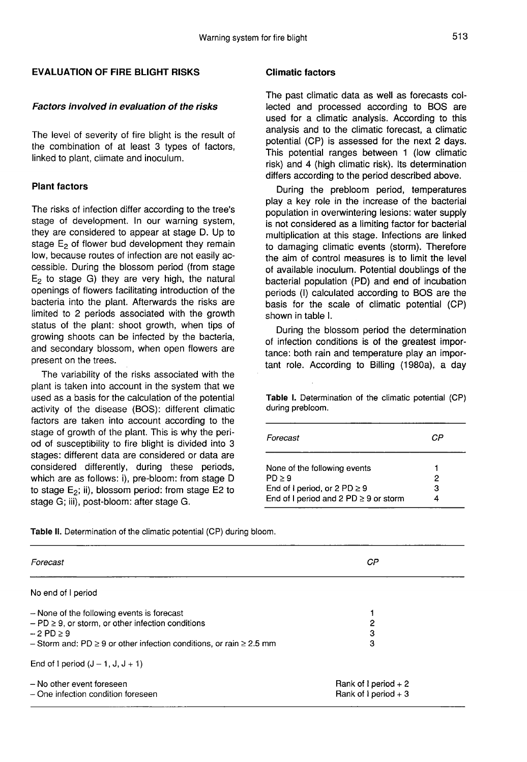# EVALUATION OF FIRE BLIGHT RISKS

# Factors involved in evaluation of the risks

The level of severity of fire blight is the result of the combination of at least 3 types of factors, linked to plant, climate and inoculum.

# Plant factors

The risks of infection differ according to the tree's stage of development. In our warning system, they are considered to appear at stage D. Up to stage  $E_2$  of flower bud development they remain low, because routes of infection are not easily accessible. During the blossom period (from stage  $E<sub>2</sub>$  to stage G) they are very high, the natural openings of flowers facilitating introduction of the bacteria into the plant. Afterwards the risks are limited to 2 periods associated with the growth status of the plant: shoot growth, when tips of growing shoots can be infected by the bacteria, and secondary blossom, when open flowers are present on the trees.

The variability of the risks associated with the plant is taken into account in the system that we used as a basis for the calculation of the potential activity of the disease (BOS): different climatic factors are taken into account according to the stage of growth of the plant. This is why the period of susceptibility to fire blight is divided into 3 stages: different data are considered or data are considered differently, during these periods, which are as follows: i), pre-bloom: from stage D to stage  $E_2$ ; ii), blossom period: from stage E2 to stage G; iii), post-bloom: after stage G.

## Climatic factors

The past climatic data as well as forecasts collected and processed according to BOS are used for a climatic analysis. According to this analysis and to the climatic forecast, a climatic potential (CP) is assessed for the next 2 days. This potential ranges between 1 (low climatic risk) and 4 (high climatic risk). Its determination differs according to the period described above.

During the prebloom period, temperatures play a key role in the increase of the bacterial population in overwintering lesions: water supply is not considered as a limiting factor for bacterial multiplication at this stage. Infections are linked to damaging climatic events (storm). Therefore the aim of control measures is to limit the level of available inoculum. Potential doublings of the bacterial population (PD) and end of incubation periods (I) calculated according to BOS are the basis for the scale of climatic potential (CP) shown in table I.

During the blossom period the determination of infection conditions is of the greatest importance: both rain and temperature play an important role. According to Billing (1980a), a day

Table I. Determination of the climatic potential (CP) during prebloom.

| Forecast                                                                                                                  | СP     |
|---------------------------------------------------------------------------------------------------------------------------|--------|
| None of the following events<br>PD > 9<br>End of I period, or 2 PD $\geq$ 9<br>End of I period and 2 PD $\geq$ 9 or storm | 2<br>з |

Table II. Determination of the climatic potential (CP) during bloom.

| Forecast                                                                                                                                                                                                | СP                                              |  |
|---------------------------------------------------------------------------------------------------------------------------------------------------------------------------------------------------------|-------------------------------------------------|--|
| No end of I period                                                                                                                                                                                      |                                                 |  |
| - None of the following events is forecast<br>$-$ PD $\geq$ 9, or storm, or other infection conditions<br>$-2$ PD $>9$<br>- Storm and: PD $\geq$ 9 or other infection conditions, or rain $\geq$ 2.5 mm | 2<br>3<br>3                                     |  |
| End of 1 period $(J - 1, J, J + 1)$                                                                                                                                                                     |                                                 |  |
| - No other event foreseen<br>- One infection condition foreseen                                                                                                                                         | Rank of I period $+2$<br>Rank of $1$ period + 3 |  |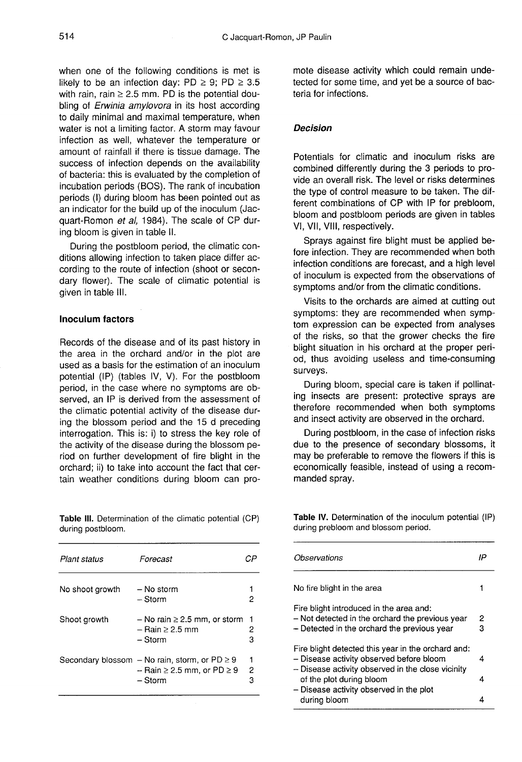when one of the following conditions is met is likely to be an infection day: PD  $\geq$  9; PD  $\geq$  3.5 with rain, rain  $\geq$  2.5 mm. PD is the potential doubling of *Erwinia amylovora* in its host according to daily minimal and maximal temperature, when water is not a limiting factor. A storm may favour infection as well, whatever the temperature or amount of rainfall if there is tissue damage. The success of infection depends on the availability of bacteria: this is evaluated by the completion of incubation periods (BOS). The rank of incubation periods (I) during bloom has been pointed out as an indicator for the build up of the inoculum (Jacquart-Romon et al, 1984). The scale of CP during bloom is given in table II.

During the postbloom period, the climatic conditions allowing infection to taken place differ according to the route of infection (shoot or secondary flower). The scale of climatic potential is given in table III.

#### Inoculum factors

Records of the disease and of its past history in the area in the orchard and/or in the plot are used as a basis for the estimation of an inoculum potential (IP) (tables IV, V). For the postbloom period, in the case where no symptoms are observed, an IP is derived from the assessment of the climatic potential activity of the disease during the blossom period and the 15 d preceding interrogation. This is: i) to stress the key role of the activity of the disease during the blossom period on further development of fire blight in the orchard; ii) to take into account the fact that certain weather conditions during bloom can pro-

Table III. Determination of the climatic potential (CP) during postbloom.

| Plant status    | Forecast                                                                                               |        |
|-----------------|--------------------------------------------------------------------------------------------------------|--------|
| No shoot growth | – No storm<br>– Storm                                                                                  |        |
| Shoot growth    | $-$ No rain $\geq 2.5$ mm, or storm<br>– Rain > 2.5 mm<br>– Storm                                      | 2<br>я |
|                 | Secondary blossom - No rain, storm, or $PD \ge 9$<br>$-$ Rain $\geq$ 2.5 mm, or PD $\geq$ 9<br>– Storm | 2<br>3 |

mote disease activity which could remain undetected for some time, and yet be a source of bacteria for infections.

#### Decision

Potentials for climatic and inoculum risks are combined differently during the 3 periods to provide an overall risk. The level or risks determines the type of control measure to be taken. The different combinations of CP with IP for prebloom, bloom and postbloom periods are given in tables VI, VII, VIII, respectively.

Sprays against fire blight must be applied before infection. They are recommended when both infection conditions are forecast, and a high level of inoculum is expected from the observations of symptoms and/or from the climatic conditions.

Visits to the orchards are aimed at cutting out symptoms: they are recommended when symptom expression can be expected from analyses of the risks, so that the grower checks the fire blight situation in his orchard at the proper period, thus avoiding useless and time-consuming surveys.

During bloom, special care is taken if pollinating insects are present: protective sprays are therefore recommended when both symptoms and insect activity are observed in the orchard.

During postbloom, in the case of infection risks due to the presence of secondary blossoms, it may be preferable to remove the flowers if this is economically feasible, instead of using a recommanded spray.

Table IV. Determination of the inoculum potential (IP) during prebloom and blossom period.

| Observations                                                                                                                                        | IΡ     |
|-----------------------------------------------------------------------------------------------------------------------------------------------------|--------|
| No fire blight in the area                                                                                                                          |        |
| Fire blight introduced in the area and:<br>- Not detected in the orchard the previous year<br>- Detected in the orchard the previous year           | 2<br>з |
| Fire blight detected this year in the orchard and:<br>- Disease activity observed before bloom<br>- Disease activity observed in the close vicinity | 4      |
| of the plot during bloom<br>- Disease activity observed in the plot<br>durina bloom                                                                 | 4      |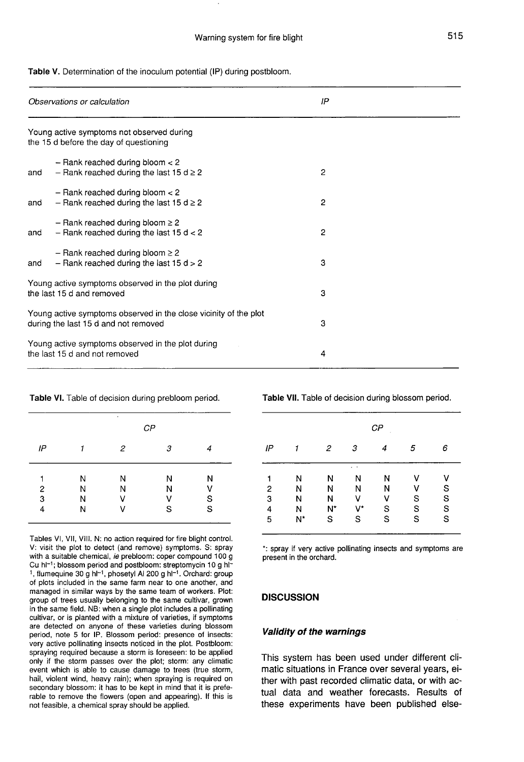|  | Table V. Determination of the inoculum potential (IP) during postbloom. |  |  |  |  |  |  |
|--|-------------------------------------------------------------------------|--|--|--|--|--|--|
|--|-------------------------------------------------------------------------|--|--|--|--|--|--|

|                                                                                                          | Observations or calculation                                                         | IP             |  |
|----------------------------------------------------------------------------------------------------------|-------------------------------------------------------------------------------------|----------------|--|
|                                                                                                          | Young active symptoms not observed during<br>the 15 d before the day of questioning |                |  |
| and                                                                                                      | $-$ Rank reached during bloom $<$ 2<br>- Rank reached during the last 15 $d \ge 2$  | $\mathbf{2}$   |  |
| and                                                                                                      | $-$ Rank reached during bloom $<$ 2<br>- Rank reached during the last 15 $d \ge 2$  | $\overline{2}$ |  |
| and                                                                                                      | - Rank reached during bloom $\geq 2$<br>- Rank reached during the last 15 $d < 2$   | $\overline{2}$ |  |
| and                                                                                                      | - Rank reached during bloom $\geq 2$<br>- Rank reached during the last 15 $d > 2$   | 3              |  |
|                                                                                                          | Young active symptoms observed in the plot during<br>the last 15 d and removed      | 3              |  |
| Young active symptoms observed in the close vicinity of the plot<br>during the last 15 d and not removed |                                                                                     | 3              |  |
|                                                                                                          | Young active symptoms observed in the plot during<br>the last 15 d and not removed  | 4              |  |

#### Table VI. Table of decision during prebloom period.

|                         |   | ٠              | $\mathcal{CP}$ |   |
|-------------------------|---|----------------|----------------|---|
| IP                      | 1 | $\overline{c}$ | З              | 4 |
| $\overline{\mathbf{c}}$ | N | N              | N              | Ν |
|                         | N | Ν              | N              | V |
| 3                       | N | V              | ٧              | S |
| 4                       | Ν | v              | S              | S |

Tables VI, VII, VIII. N: no action required for fire blight control. V: visit the plot to detect (and remove) symptoms. S: spray with a suitable chemical, ie prebloom: coper compound 100 g Cu hl<sup>-1</sup>; blossom period and postbloom: streptomycin 10 g hl<sup>-</sup> <sup>1</sup>, flumequine 30 g hl<sup>-1</sup>, phosetyl Al 200 g hl<sup>-1</sup>. Orchard: group of plots included in the same farm near to one another, and managed in similar ways by the same team of workers. Plot: group of trees usually belonging to the same cultivar, grown in the same field. NB: when a single plot includes a pollinating cultivar, or is planted with a mixture of varieties, if symptoms are detected on anyone of these varieties during blossom period, note 5 for IP. Blossom period: presence of insects: very active pollinating insects noticed in the plot. Postbloom: spraying required because a storm is foreseen: to be applied only if the storm passes over the plot; storm: any climatic event which is able to cause damage to trees (true storm, hail, violent wind, heavy rain); when spraying is required on secondary blossom: it has to be kept in mind that it is preferable to remove the flowers (open and appearing). If this is not feasible, a chemical spray should be applied.

Table VII. Table of decision during blossom period.

|                         |    |       |          | $\mathcal{CP}$ |             |               |
|-------------------------|----|-------|----------|----------------|-------------|---------------|
| IP                      |    | 2     | 3        | 4              | 5           | 6             |
|                         | Ν  | N     | . .<br>Ν | Ν              | ٧           | ۷             |
| $\overline{\mathbf{c}}$ | Ν  | Ν     | N        | N              | ٧           | ${\mathsf S}$ |
| 3                       | Ν  | N     | ٧        | V              | $\mathbb S$ | $\mathbf S$   |
| 4                       | N  | $N^*$ | V*       | $\mathbf S$    | S           | S             |
| 5                       | N* | S     | S        | S              | $\mathbf S$ | $\mathbf S$   |

\*: spray if very active pollinating insects and symptoms are present in the orchard.

#### **DISCUSSION**

#### Validity of the warnings

This system has been used under different climatic situations in France over several years, either with past recorded climatic data, or with actual data and weather forecasts. Results of these experiments have been published else-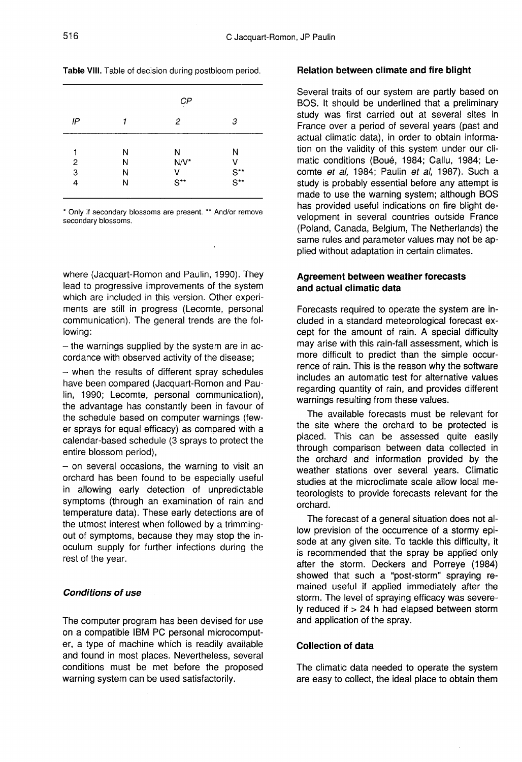| Table VIII. Table of decision during postbloom period. |  |  |  |  |  |  |  |
|--------------------------------------------------------|--|--|--|--|--|--|--|
|--------------------------------------------------------|--|--|--|--|--|--|--|

|    |   | CP               |                                  |
|----|---|------------------|----------------------------------|
| IP |   | 2                | 3                                |
| 1  | Ν | N                | N                                |
| 2  | N | $N/V^*$          | ٧                                |
| 3  | N | ٧                | $S^{\ast\ast}$<br>$S^{\ast\ast}$ |
| 4  | Ν | $S^{\star\star}$ |                                  |

\* Only if secondary blossoms are present. \*\* And/or remove secondary blossoms.

where (Jacquart-Romon and Paulin, 1990). They lead to progressive improvements of the system which are included in this version. Other experiments are still in progress (Lecomte, personal communication). The general trends are the following:

 $-$  the warnings supplied by the system are in accordance with observed activity of the disease;

- when the results of different spray schedules have been compared (Jacquart-Romon and Paulin, 1990; Lecomte, personal communication), the advantage has constantly been in favour of the schedule based on computer warnings (few er sprays for equal efficacy) as compared with a calendar-based schedule (3 sprays to protect the entire blossom period),

- on several occasions, the warning to visit an orchard has been found to be especially useful in allowing early detection of unpredictable symptoms (through an examination of rain and temperature data). These early detections are of the utmost interest when followed by a trimmingout of symptoms, because they may stop the inoculum supply for further infections during the rest of the year.

#### Conditions of use

The computer program has been devised for use on a compatible IBM PC personal microcomputer, a type of machine which is readily available and found in most places. Nevertheless, several conditions must be met before the proposed warning system can be used satisfactorily.

#### Relation between climate and fire blight

Several traits of our system are partly based on BOS. It should be underlined that a preliminary study was first carried out at several sites in France over a period of several years (past and actual climatic data), in order to obtain information on the validity of this system under our climatic conditions (Boué, 1984; Callu, 1984; Lecomte et al, 1984; Paulin et al, 1987). Such a study is probably essential before any attempt is made to use the warning system; although BOS has provided useful indications on fire blight development in several countries outside France (Poland, Canada, Belgium, The Netherlands) the same rules and parameter values may not be applied without adaptation in certain climates.

#### Agreement between weather forecasts and actual climatic data

Forecasts required to operate the system are included in a standard meteorological forecast except for the amount of rain. A special difficulty may arise with this rain-fall assessment, which is more difficult to predict than the simple occurrence of rain. This is the reason why the software includes an automatic test for alternative values regarding quantity of rain, and provides different warnings resulting from these values.

The available forecasts must be relevant for the site where the orchard to be protected is placed. This can be assessed quite easily through comparison between data collected in the orchard and information provided by the weather stations over several years. Climatic studies at the microclimate scale allow local meteorologists to provide forecasts relevant for the orchard.

The forecast of a general situation does not allow prevision of the occurrence of a stormy episode at any given site. To tackle this difficulty, it is recommended that the spray be applied only after the storm. Deckers and Porreye (1984) showed that such a "post-storm" spraying remained useful if applied immediately after the storm. The level of spraying efficacy was severely reduced if  $> 24$  h had elapsed between storm and application of the spray.

# Collection of data

The climatic data needed to operate the system are easy to collect, the ideal place to obtain them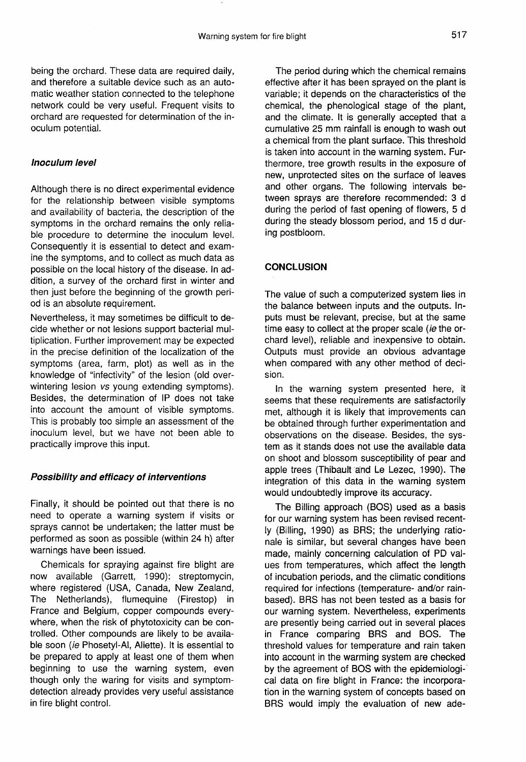being the orchard. These data are required daily, and therefore a suitable device such as an automatic weather station connected to the telephone network could be very useful. Frequent visits to orchard are requested for determination of the inoculum potential.

#### Inoculum level

Although there is no direct experimental evidence for the relationship between visible symptoms and availability of bacteria, the description of the symptoms in the orchard remains the only reliable procedure to determine the inoculum level. Consequently it is essential to detect and examine the symptoms, and to collect as much data as possible on the local history of the disease. In addition, a survey of the orchard first in winter and then just before the beginning of the growth period is an absolute requirement.

Nevertheless, it may sometimes be difficult to decide whether or not lesions support bacterial multiplication. Further improvement may be expected in the precise definition of the localization of the symptoms (area, farm, plot) as well as in the knowledge of "infectivity" of the lesion (old overwintering lesion vs young extending symptoms). Besides, the determination of IP does not take into account the amount of visible symptoms. This is probably too simple an assessment of the inoculum level, but we have not been able to practically improve this input.

#### Possibility and efficacy of interventions

Finally, it should be pointed out that there is no need to operate a warning system if visits or sprays cannot be undertaken; the latter must be performed as soon as possible (within 24 h) after warnings have been issued.

Chemicals for spraying against fire blight are now available (Garrett, 1990): streptomycin, where registered (USA, Canada, New Zealand, The Netherlands), flumequine (Firestop) in France and Belgium, copper compounds everywhere, when the risk of phytotoxicity can be controlled. Other compounds are likely to be available soon *(ie Phosetyl-Al, Aliette)*. It is essential to be prepared to apply at least one of them when beginning to use the warning system, even though only the waring for visits and symptomdetection already provides very useful assistance in fire blight control.

The period during which the chemical remains effective after it has been sprayed on the plant is variable; it depends on the characteristics of the chemical, the phenological stage of the plant, and the climate. It is generally accepted that a cumulative 25 mm rainfall is enough to wash out a chemical from the plant surface. This threshold is taken into account in the warning system. Furthermore, tree growth results in the exposure of new, unprotected sites on the surface of leaves and other organs. The following intervals between sprays are therefore recommended: 3 d during the period of fast opening of flowers, 5 d during the steady blossom period, and 15 d during postbloom.

#### **CONCLUSION**

The value of such a computerized system lies in the balance between inputs and the outputs. Inputs must be relevant, precise, but at the same time easy to collect at the proper scale (ie the orchard level), reliable and inexpensive to obtain. Outputs must provide an obvious advantage when compared with any other method of decision.

In the warning system presented here, it seems that these requirements are satisfactorily met, although it is likely that improvements can be obtained through further experimentation and observations on the disease. Besides, the system as it stands does not use the available data on shoot and blossom susceptibility of pear and apple trees (Thibault and Le Lezec, 1990). The integration of this data in the warning system would undoubtedly improve its accuracy.

The Billing approach (BOS) used as a basis for our warning system has been revised recently (Billing, 1990) as BRS; the underlying rationale is similar, but several changes have been made, mainly concerning calculation of PD values from temperatures, which affect the length of incubation periods, and the climatic conditions required for infections (temperature- and/or rainbased). BRS has not been tested as a basis for our warning system. Nevertheless, experiments are presently being carried out in several places in France comparing BRS and BOS. The threshold values for temperature and rain taken into account in the warming system are checked by the agreement of BOS with the epidemiological data on fire blight in France: the incorporation in the warning system of concepts based on BRS would imply the evaluation of new ade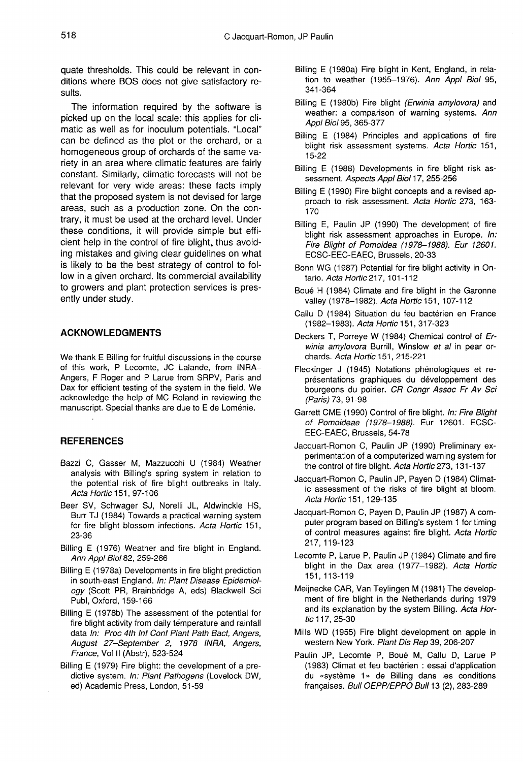quate thresholds. This could be relevant in conditions where BOS does not give satisfactory results.

The information required by the software is picked up on the local scale: this applies for climatic as well as for inoculum potentials. "Local" can be defined as the plot or the orchard, or a homogeneous group of orchards of the same variety in an area where climatic features are fairly constant. Similarly, climatic forecasts will not be relevant for very wide areas: these facts imply that the proposed system is not devised for large areas, such as a production zone. On the contrary, it must be used at the orchard level. Under these conditions, it will provide simple but efficient help in the control of fire blight, thus avoiding mistakes and giving clear guidelines on what is likely to be the best strategy of control to follow in a given orchard. Its commercial availability to growers and plant protection services is presently under study.

#### ACKNOWLEDGMENTS

We thank E Billing for fruitful discussions in the course of this work, P Lecomte, JC Lalande, from INRA-Angers, F Roger and P Larue from SRPV, Paris and Dax for efficient testing of the system in the field. We acknowledge the help of MC Roland in reviewing the manuscript. Special thanks are due to E de Loménie.

#### **REFERENCES**

- Bazzi C, Gasser M, Mazzucchi U (1984) Weather analysis with Billing's spring system in relation to the potential risk of fire blight outbreaks in Italy. Acta Hortic 151, 97-106
- Beer SV, Schwager SJ, Norelli JL, Aldwinckle HS, Burr TJ (1984) Towards a practical warning system for fire blight blossom infections. Acta Hortic 151, 23-36
- Billing E (1976) Weather and fire blight in England. Ann Appl Biol 82, 259-266
- Billing E (1978a) Developments in fire blight prediction in south-east England. In: Plant Disease Epidemiology (Scott PR, Brainbridge A, eds) Blackwell Sci Publ, Oxford, 159-166
- Billing E (1978b) The assessment of the potential for fire blight activity from daily temperature and rainfall data In: Proc 4th Inf Conf Plant Path Bact, Angers, August 27-September 2, 1978 INRA, Angers, France, Vol II (Abstr), 523-524
- Billing E (1979) Fire blight: the development of a predictive system. In: Plant Pathogens (Lovelock DW, ed) Academic Press, London, 51-59
- Billing E (1980a) Fire blight in Kent, England, in relation to weather (1955-1976). Ann Appl Biol 95, 341-364
- Billing E (1980b) Fire blight (Erwinia amylovora) and weather: a comparison of warning systems. Ann Appl Biol 95, 365-377
- Billing E (1984) Principles and applications of fire blight risk assessment systems. Acta Hortic 151, 15-22
- Billing E (1988) Developments in fire blight risk assessment. Aspects Appl Biol 17, 255-256
- Billing E (1990) Fire blight concepts and a revised approach to risk assessment. Acta Hortic 273, 163- 170
- Billing E, Paulin JP (1990) The development of fire blight risk assessment approaches in Europe. In: Fire Blight of Pomoidea (1978-1988). Eur 12601. ECSC-EEC-EAEC, Brussels, 20-33
- Bonn WG (1987) Potential for fire blight activity in Ontario. Acta Hortic 217, 101-112
- Boué H (1984) Climate and fire blight in the Garonne valley (1978-1982). Acta Hortic 151, 107-112
- Callu D (1984) Situation du feu bactérien en France (1982-1983). Acta Hortic 151, 317-323
- Deckers T, Porreye W (1984) Chemical control of Erwinia amylovora Burrill, Winslow et al in pear orchards. Acta Hortic 151, 215-221
- Fleckinger J (1945) Notations phénologiques et représentations graphiques du développement des bourgeons du poirier. CR Congr Assoc Fr Av Sci (Paris) 73, 91-98
- Garrett CME (1990) Control of fire blight. In: Fire Blight of Pomoideae (1978-1988). Eur 12601. ECSC-EEC-EAEC, Brussels, 54-78
- Jacquart-Romon C, Paulin JP (1990) Preliminary experimentation of a computerized warning system for the control of fire blight. Acta Hortic 273, 131-137
- Jacquart-Romon C, Paulin JP, Payen D (1984) Climatic assessment of the risks of fire blight at bloom. Acta Hortic 151, 129-135
- Jacquart-Romon C, Payen D, Paulin JP (1987) A computer program based on Billing's system 1 for timing of control measures against fire blight. Acta Hortic 217, 119-123
- Lecomte P, Larue P, Paulin JP (1984) Climate and fire blight in the Dax area (1977-1982). Acta Hortic 151, 113-119
- Meijnecke CAR, Van Teylingen M (1981) The development of fire blight in the Netherlands during 1979 and its explanation by the system Billing. Acta Hortic 117, 25-30
- Mills WD (1955) Fire blight development on apple in western New York. Plant Dis Rep 39, 206-207
- Paulin JP, Lecomte P, Boué M, Callu D, Larue P (1983) Climat et feu bactérien : essai d'application du «système 1» de Billing dans les conditions françaises. Bull OEPP/EPPO Bull 13 (2), 283-289